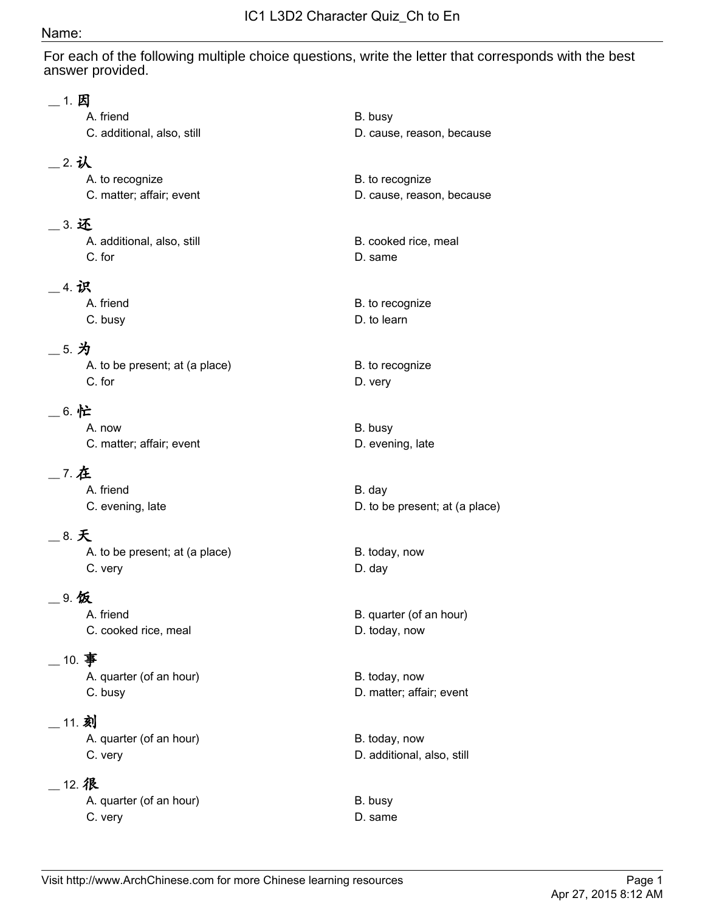## Name:

For each of the following multiple choice questions, write the letter that corresponds with the best answer provided.

| 1. 因   | A. friend<br>C. additional, also, still     | B. busy<br>D. cause, reason, because         |
|--------|---------------------------------------------|----------------------------------------------|
| _2.认   | A. to recognize<br>C. matter; affair; event | B. to recognize<br>D. cause, reason, because |
| 3. 还   | A. additional, also, still<br>C. for        | B. cooked rice, meal<br>D. same              |
| .4.识   | A. friend<br>C. busy                        | B. to recognize<br>D. to learn               |
| _ 5. 为 | A. to be present; at (a place)<br>C. for    | B. to recognize<br>D. very                   |
| _6. 忙  | A. now<br>C. matter; affair; event          | B. busy<br>D. evening, late                  |
| _ 7. 在 | A. friend<br>C. evening, late               | B. day<br>D. to be present; at (a place)     |
| 8. 天   | A. to be present; at (a place)<br>C. very   | B. today, now<br>D. day                      |
| 9.饭    | A. friend<br>C. cooked rice, meal           | B. quarter (of an hour)<br>D. today, now     |
|        | 10. 事<br>A. quarter (of an hour)<br>C. busy | B. today, now<br>D. matter; affair; event    |
| 11. 刻  | A. quarter (of an hour)<br>C. very          | B. today, now<br>D. additional, also, still  |
|        | 12. 很<br>A. quarter (of an hour)<br>C. very | B. busy<br>D. same                           |
|        |                                             |                                              |